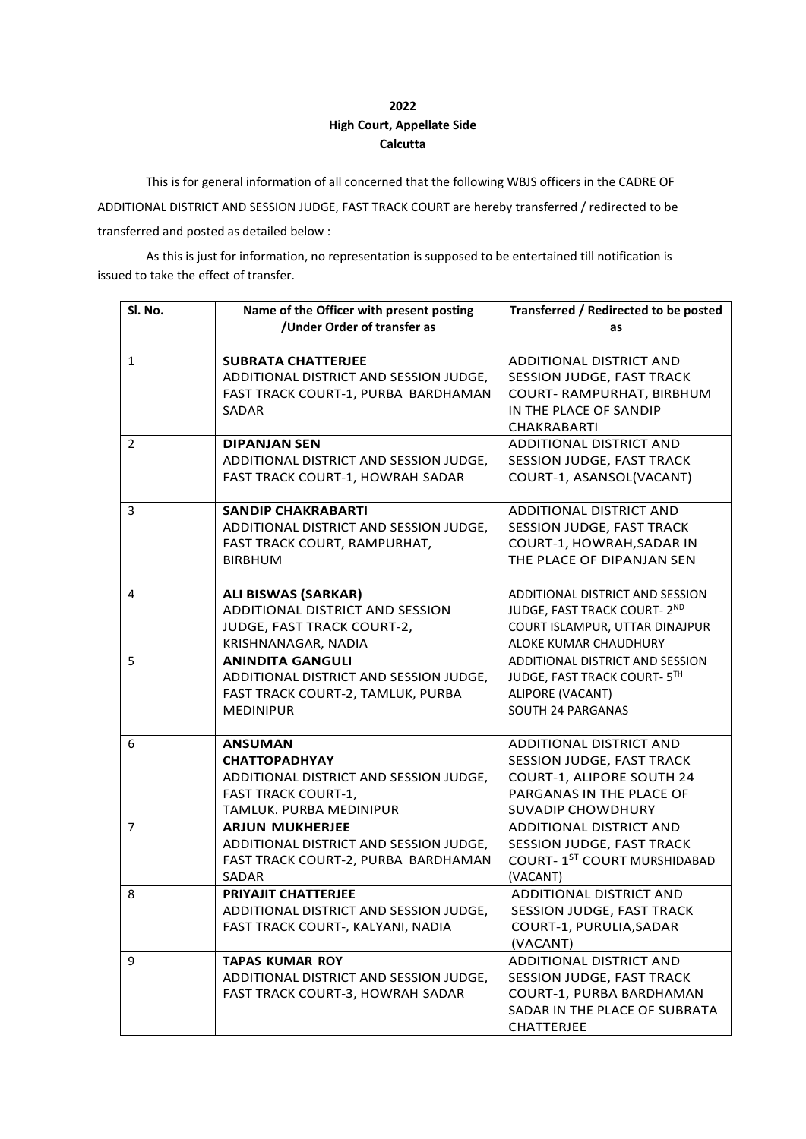## **2022 High Court, Appellate Side Calcutta**

This is for general information of all concerned that the following WBJS officers in the CADRE OF ADDITIONAL DISTRICT AND SESSION JUDGE, FAST TRACK COURT are hereby transferred / redirected to be transferred and posted as detailed below :

As this is just for information, no representation is supposed to be entertained till notification is issued to take the effect of transfer.

| Sl. No.        | Name of the Officer with present posting<br>/Under Order of transfer as                                                                   | Transferred / Redirected to be posted<br>as                                                                                               |
|----------------|-------------------------------------------------------------------------------------------------------------------------------------------|-------------------------------------------------------------------------------------------------------------------------------------------|
| $\mathbf{1}$   | <b>SUBRATA CHATTERJEE</b><br>ADDITIONAL DISTRICT AND SESSION JUDGE,<br>FAST TRACK COURT-1, PURBA BARDHAMAN<br><b>SADAR</b>                | <b>ADDITIONAL DISTRICT AND</b><br>SESSION JUDGE, FAST TRACK<br>COURT-RAMPURHAT, BIRBHUM<br>IN THE PLACE OF SANDIP<br><b>CHAKRABARTI</b>   |
| $\overline{2}$ | <b>DIPANJAN SEN</b><br>ADDITIONAL DISTRICT AND SESSION JUDGE,<br>FAST TRACK COURT-1, HOWRAH SADAR                                         | <b>ADDITIONAL DISTRICT AND</b><br>SESSION JUDGE, FAST TRACK<br>COURT-1, ASANSOL(VACANT)                                                   |
| 3              | <b>SANDIP CHAKRABARTI</b><br>ADDITIONAL DISTRICT AND SESSION JUDGE,<br>FAST TRACK COURT, RAMPURHAT,<br><b>BIRBHUM</b>                     | ADDITIONAL DISTRICT AND<br>SESSION JUDGE, FAST TRACK<br>COURT-1, HOWRAH, SADAR IN<br>THE PLACE OF DIPANJAN SEN                            |
| 4              | <b>ALI BISWAS (SARKAR)</b><br>ADDITIONAL DISTRICT AND SESSION<br>JUDGE, FAST TRACK COURT-2,<br>KRISHNANAGAR, NADIA                        | <b>ADDITIONAL DISTRICT AND SESSION</b><br>JUDGE, FAST TRACK COURT- 2ND<br>COURT ISLAMPUR, UTTAR DINAJPUR<br>ALOKE KUMAR CHAUDHURY         |
| 5              | <b>ANINDITA GANGULI</b><br>ADDITIONAL DISTRICT AND SESSION JUDGE,<br>FAST TRACK COURT-2, TAMLUK, PURBA<br><b>MEDINIPUR</b>                | ADDITIONAL DISTRICT AND SESSION<br>JUDGE, FAST TRACK COURT- 5TH<br>ALIPORE (VACANT)<br><b>SOUTH 24 PARGANAS</b>                           |
| 6              | <b>ANSUMAN</b><br><b>CHATTOPADHYAY</b><br>ADDITIONAL DISTRICT AND SESSION JUDGE,<br><b>FAST TRACK COURT-1,</b><br>TAMLUK. PURBA MEDINIPUR | ADDITIONAL DISTRICT AND<br>SESSION JUDGE, FAST TRACK<br>COURT-1, ALIPORE SOUTH 24<br>PARGANAS IN THE PLACE OF<br><b>SUVADIP CHOWDHURY</b> |
| $\overline{7}$ | <b>ARJUN MUKHERJEE</b><br>ADDITIONAL DISTRICT AND SESSION JUDGE,<br>FAST TRACK COURT-2, PURBA BARDHAMAN<br><b>SADAR</b>                   | ADDITIONAL DISTRICT AND<br>SESSION JUDGE, FAST TRACK<br>COURT-1ST COURT MURSHIDABAD<br>(VACANT)                                           |
| 8              | <b>PRIYAJIT CHATTERJEE</b><br>ADDITIONAL DISTRICT AND SESSION JUDGE,<br>FAST TRACK COURT-, KALYANI, NADIA                                 | ADDITIONAL DISTRICT AND<br>SESSION JUDGE, FAST TRACK<br>COURT-1, PURULIA, SADAR<br>(VACANT)                                               |
| 9              | <b>TAPAS KUMAR ROY</b><br>ADDITIONAL DISTRICT AND SESSION JUDGE,<br>FAST TRACK COURT-3, HOWRAH SADAR                                      | ADDITIONAL DISTRICT AND<br>SESSION JUDGE, FAST TRACK<br>COURT-1, PURBA BARDHAMAN<br>SADAR IN THE PLACE OF SUBRATA<br>CHATTERJEE           |